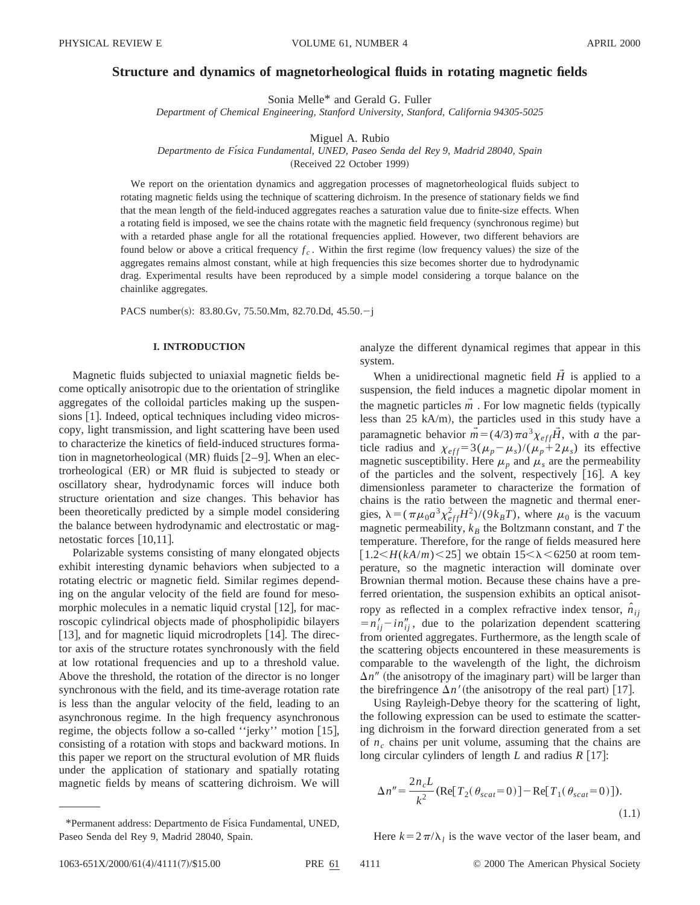# **Structure and dynamics of magnetorheological fluids in rotating magnetic fields**

Sonia Melle\* and Gerald G. Fuller

*Department of Chemical Engineering, Stanford University, Stanford, California 94305-5025*

Miguel A. Rubio

*Departmento de Fı´sica Fundamental, UNED, Paseo Senda del Rey 9, Madrid 28040, Spain*

(Received 22 October 1999)

We report on the orientation dynamics and aggregation processes of magnetorheological fluids subject to rotating magnetic fields using the technique of scattering dichroism. In the presence of stationary fields we find that the mean length of the field-induced aggregates reaches a saturation value due to finite-size effects. When a rotating field is imposed, we see the chains rotate with the magnetic field frequency (synchronous regime) but with a retarded phase angle for all the rotational frequencies applied. However, two different behaviors are found below or above a critical frequency  $f_c$ . Within the first regime (low frequency values) the size of the aggregates remains almost constant, while at high frequencies this size becomes shorter due to hydrodynamic drag. Experimental results have been reproduced by a simple model considering a torque balance on the chainlike aggregates.

PACS number(s): 83.80.Gv, 75.50.Mm, 82.70.Dd, 45.50. $-j$ 

## **I. INTRODUCTION**

Magnetic fluids subjected to uniaxial magnetic fields become optically anisotropic due to the orientation of stringlike aggregates of the colloidal particles making up the suspensions  $[1]$ . Indeed, optical techniques including video microscopy, light transmission, and light scattering have been used to characterize the kinetics of field-induced structures formation in magnetorheological (MR) fluids  $[2-9]$ . When an electrorheological (ER) or MR fluid is subjected to steady or oscillatory shear, hydrodynamic forces will induce both structure orientation and size changes. This behavior has been theoretically predicted by a simple model considering the balance between hydrodynamic and electrostatic or magnetostatic forces  $[10,11]$ .

Polarizable systems consisting of many elongated objects exhibit interesting dynamic behaviors when subjected to a rotating electric or magnetic field. Similar regimes depending on the angular velocity of the field are found for mesomorphic molecules in a nematic liquid crystal  $[12]$ , for macroscopic cylindrical objects made of phospholipidic bilayers  $\lfloor 13 \rfloor$ , and for magnetic liquid microdroplets  $\lfloor 14 \rfloor$ . The director axis of the structure rotates synchronously with the field at low rotational frequencies and up to a threshold value. Above the threshold, the rotation of the director is no longer synchronous with the field, and its time-average rotation rate is less than the angular velocity of the field, leading to an asynchronous regime. In the high frequency asynchronous regime, the objects follow a so-called "jerky" motion  $[15]$ , consisting of a rotation with stops and backward motions. In this paper we report on the structural evolution of MR fluids under the application of stationary and spatially rotating magnetic fields by means of scattering dichroism. We will analyze the different dynamical regimes that appear in this system.

When a unidirectional magnetic field  $\hat{H}$  is applied to a suspension, the field induces a magnetic dipolar moment in the magnetic particles  $m$ . For low magnetic fields (typically less than  $25 \text{ kA/m}$ , the particles used in this study have a paramagnetic behavior  $\vec{m} = (4/3)\pi a^3 \chi_{eff} \vec{H}$ , with *a* the particle radius and  $\chi_{eff} = 3(\mu_p - \mu_s)/(\mu_p + 2\mu_s)$  its effective magnetic susceptibility. Here  $\mu_p$  and  $\mu_s$  are the permeability of the particles and the solvent, respectively  $[16]$ . A key dimensionless parameter to characterize the formation of chains is the ratio between the magnetic and thermal energies,  $\lambda = (\pi \mu_0 a^3 \chi_{eff}^2 H^2) / (9k_B T)$ , where  $\mu_0$  is the vacuum magnetic permeability,  $k_B$  the Boltzmann constant, and *T* the temperature. Therefore, for the range of fields measured here  $[1.2 \leq H(kA/m) \leq 25]$  we obtain  $15 \leq \lambda \leq 6250$  at room temperature, so the magnetic interaction will dominate over Brownian thermal motion. Because these chains have a preferred orientation, the suspension exhibits an optical anisotropy as reflected in a complex refractive index tensor,  $n_{ii}$  $=n'_{ii} - in''_{ii}$ , due to the polarization dependent scattering from oriented aggregates. Furthermore, as the length scale of the scattering objects encountered in these measurements is comparable to the wavelength of the light, the dichroism  $\Delta n''$  (the anisotropy of the imaginary part) will be larger than the birefringence  $\Delta n'$  (the anisotropy of the real part) [17].

Using Rayleigh-Debye theory for the scattering of light, the following expression can be used to estimate the scattering dichroism in the forward direction generated from a set of *nc* chains per unit volume, assuming that the chains are long circular cylinders of length *L* and radius  $R$  [17]:

$$
\Delta n'' = \frac{2n_c L}{k^2} (\text{Re}[T_2(\theta_{scat} = 0)] - \text{Re}[T_1(\theta_{scat} = 0)]). \tag{1.1}
$$

Here  $k = 2\pi/\lambda_l$  is the wave vector of the laser beam, and

<sup>\*</sup>Permanent address: Departmento de Fı´sica Fundamental, UNED, Paseo Senda del Rey 9, Madrid 28040, Spain.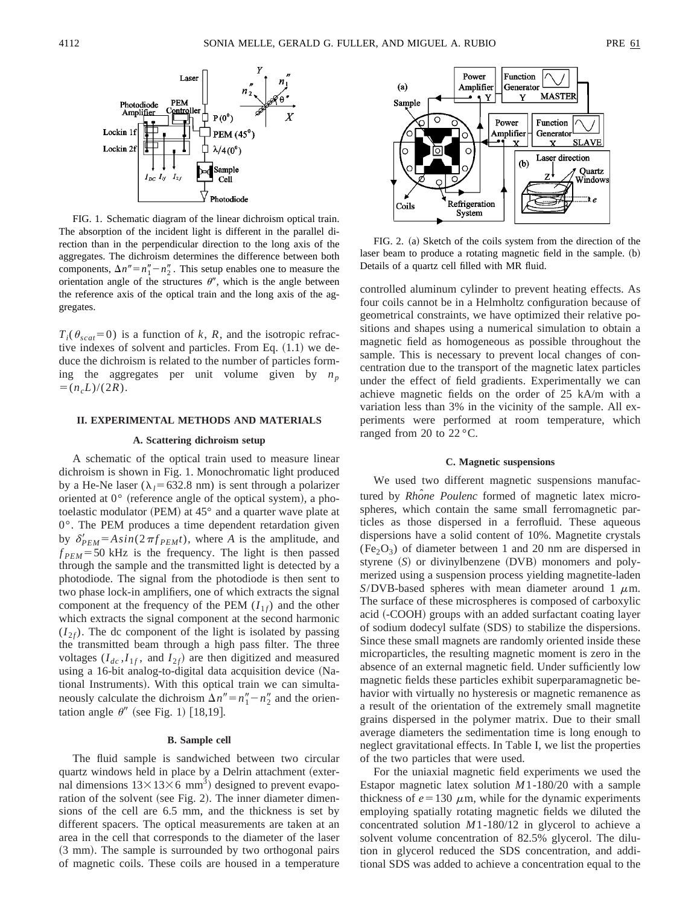

FIG. 1. Schematic diagram of the linear dichroism optical train. The absorption of the incident light is different in the parallel direction than in the perpendicular direction to the long axis of the aggregates. The dichroism determines the difference between both components,  $\Delta n'' = n_1'' - n_2''$ . This setup enables one to measure the orientation angle of the structures  $\theta''$ , which is the angle between the reference axis of the optical train and the long axis of the aggregates.

 $T_i(\theta_{scat}=0)$  is a function of *k*, *R*, and the isotropic refractive indexes of solvent and particles. From Eq.  $(1.1)$  we deduce the dichroism is related to the number of particles forming the aggregates per unit volume given by  $n_p$  $= (n_cL)/(2R)$ .

## **II. EXPERIMENTAL METHODS AND MATERIALS**

#### **A. Scattering dichroism setup**

A schematic of the optical train used to measure linear dichroism is shown in Fig. 1. Monochromatic light produced by a He-Ne laser ( $\lambda_1$ =632.8 nm) is sent through a polarizer oriented at  $0^{\circ}$  (reference angle of the optical system), a photoelastic modulator (PEM) at  $45^\circ$  and a quarter wave plate at 0°. The PEM produces a time dependent retardation given by  $\delta'_{PEM} = A \sin(2\pi f_{PEM}t)$ , where *A* is the amplitude, and  $f_{PEM}$ =50 kHz is the frequency. The light is then passed through the sample and the transmitted light is detected by a photodiode. The signal from the photodiode is then sent to two phase lock-in amplifiers, one of which extracts the signal component at the frequency of the PEM  $(I_{1})$  and the other which extracts the signal component at the second harmonic  $(I_{2f})$ . The dc component of the light is isolated by passing the transmitted beam through a high pass filter. The three voltages  $(I_{dc}, I_{1f},$  and  $I_{2f}$ ) are then digitized and measured using a 16-bit analog-to-digital data acquisition device  $(Na$ tional Instruments). With this optical train we can simultaneously calculate the dichroism  $\Delta n'' = n_1'' - n_2''$  and the orientation angle  $\theta''$  (see Fig. 1) [18,19].

### **B. Sample cell**

The fluid sample is sandwiched between two circular quartz windows held in place by a Delrin attachment (external dimensions  $13 \times 13 \times 6$  mm<sup>3</sup>) designed to prevent evaporation of the solvent (see Fig. 2). The inner diameter dimensions of the cell are 6.5 mm, and the thickness is set by different spacers. The optical measurements are taken at an area in the cell that corresponds to the diameter of the laser  $(3 \text{ mm})$ . The sample is surrounded by two orthogonal pairs of magnetic coils. These coils are housed in a temperature



FIG. 2. (a) Sketch of the coils system from the direction of the laser beam to produce a rotating magnetic field in the sample.  $(b)$ Details of a quartz cell filled with MR fluid.

controlled aluminum cylinder to prevent heating effects. As four coils cannot be in a Helmholtz configuration because of geometrical constraints, we have optimized their relative positions and shapes using a numerical simulation to obtain a magnetic field as homogeneous as possible throughout the sample. This is necessary to prevent local changes of concentration due to the transport of the magnetic latex particles under the effect of field gradients. Experimentally we can achieve magnetic fields on the order of 25 kA/m with a variation less than 3% in the vicinity of the sample. All experiments were performed at room temperature, which ranged from 20 to  $22^{\circ}$ C.

### **C. Magnetic suspensions**

We used two different magnetic suspensions manufactured by *Rhône Poulenc* formed of magnetic latex microspheres, which contain the same small ferromagnetic particles as those dispersed in a ferrofluid. These aqueous dispersions have a solid content of 10%. Magnetite crystals  $(Fe<sub>2</sub>O<sub>3</sub>)$  of diameter between 1 and 20 nm are dispersed in styrene  $(S)$  or divinylbenzene  $(DVB)$  monomers and polymerized using a suspension process yielding magnetite-laden *S*/DVB-based spheres with mean diameter around 1  $\mu$ m. The surface of these microspheres is composed of carboxylic acid (-COOH) groups with an added surfactant coating layer of sodium dodecyl sulfate (SDS) to stabilize the dispersions. Since these small magnets are randomly oriented inside these microparticles, the resulting magnetic moment is zero in the absence of an external magnetic field. Under sufficiently low magnetic fields these particles exhibit superparamagnetic behavior with virtually no hysteresis or magnetic remanence as a result of the orientation of the extremely small magnetite grains dispersed in the polymer matrix. Due to their small average diameters the sedimentation time is long enough to neglect gravitational effects. In Table I, we list the properties of the two particles that were used.

For the uniaxial magnetic field experiments we used the Estapor magnetic latex solution *M*1-180/20 with a sample thickness of  $e=130 \mu m$ , while for the dynamic experiments employing spatially rotating magnetic fields we diluted the concentrated solution *M*1-180/12 in glycerol to achieve a solvent volume concentration of 82.5% glycerol. The dilution in glycerol reduced the SDS concentration, and additional SDS was added to achieve a concentration equal to the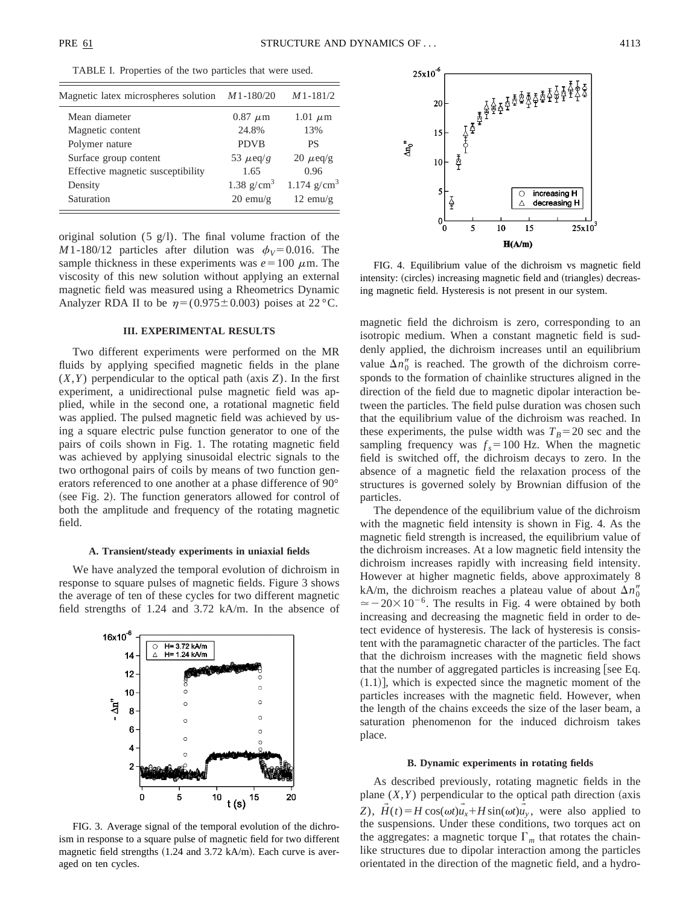TABLE I. Properties of the two particles that were used.

| Magnetic latex microspheres solution $M1-180/20$ |               | $M1 - 181/2$   |
|--------------------------------------------------|---------------|----------------|
| Mean diameter                                    | $0.87 \mu m$  | $1.01 \mu m$   |
| Magnetic content                                 | 24.8%         | 13%            |
| Polymer nature                                   | <b>PDVB</b>   | <b>PS</b>      |
| Surface group content                            | 53 $\mu$ eg/g | $20 \mu$ eq/g  |
| Effective magnetic susceptibility                | 1.65          | 0.96           |
| Density                                          | 1.38 $g/cm^3$ | 1.174 $g/cm^3$ |
| Saturation                                       | $20$ emu/g    | $12$ emu/g     |

original solution  $(5 \text{ g/l})$ . The final volume fraction of the *M*1-180/12 particles after dilution was  $\phi_V = 0.016$ . The sample thickness in these experiments was  $e = 100 \mu$ m. The viscosity of this new solution without applying an external magnetic field was measured using a Rheometrics Dynamic Analyzer RDA II to be  $\eta = (0.975 \pm 0.003)$  poises at 22 °C.

### **III. EXPERIMENTAL RESULTS**

Two different experiments were performed on the MR fluids by applying specified magnetic fields in the plane  $(X, Y)$  perpendicular to the optical path (axis *Z*). In the first experiment, a unidirectional pulse magnetic field was applied, while in the second one, a rotational magnetic field was applied. The pulsed magnetic field was achieved by using a square electric pulse function generator to one of the pairs of coils shown in Fig. 1. The rotating magnetic field was achieved by applying sinusoidal electric signals to the two orthogonal pairs of coils by means of two function generators referenced to one another at a phase difference of 90° (see Fig. 2). The function generators allowed for control of both the amplitude and frequency of the rotating magnetic field.

#### **A. TransientÕsteady experiments in uniaxial fields**

We have analyzed the temporal evolution of dichroism in response to square pulses of magnetic fields. Figure 3 shows the average of ten of these cycles for two different magnetic field strengths of 1.24 and 3.72 kA/m. In the absence of



FIG. 3. Average signal of the temporal evolution of the dichroism in response to a square pulse of magnetic field for two different magnetic field strengths  $(1.24$  and  $3.72$  kA/m). Each curve is averaged on ten cycles.



FIG. 4. Equilibrium value of the dichroism vs magnetic field intensity: (circles) increasing magnetic field and (triangles) decreasing magnetic field. Hysteresis is not present in our system.

magnetic field the dichroism is zero, corresponding to an isotropic medium. When a constant magnetic field is suddenly applied, the dichroism increases until an equilibrium value  $\Delta n_0''$  is reached. The growth of the dichroism corresponds to the formation of chainlike structures aligned in the direction of the field due to magnetic dipolar interaction between the particles. The field pulse duration was chosen such that the equilibrium value of the dichroism was reached. In these experiments, the pulse width was  $T_B$ =20 sec and the sampling frequency was  $f_s = 100$  Hz. When the magnetic field is switched off, the dichroism decays to zero. In the absence of a magnetic field the relaxation process of the structures is governed solely by Brownian diffusion of the particles.

The dependence of the equilibrium value of the dichroism with the magnetic field intensity is shown in Fig. 4. As the magnetic field strength is increased, the equilibrium value of the dichroism increases. At a low magnetic field intensity the dichroism increases rapidly with increasing field intensity. However at higher magnetic fields, above approximately 8 kA/m, the dichroism reaches a plateau value of about  $\Delta n_0''$  $\approx$  -20 $\times$ 10<sup>-6</sup>. The results in Fig. 4 were obtained by both increasing and decreasing the magnetic field in order to detect evidence of hysteresis. The lack of hysteresis is consistent with the paramagnetic character of the particles. The fact that the dichroism increases with the magnetic field shows that the number of aggregated particles is increasing [see Eq.  $(1.1)$ , which is expected since the magnetic moment of the particles increases with the magnetic field. However, when the length of the chains exceeds the size of the laser beam, a saturation phenomenon for the induced dichroism takes place.

#### **B. Dynamic experiments in rotating fields**

As described previously, rotating magnetic fields in the plane  $(X, Y)$  perpendicular to the optical path direction (axis *Z*),  $\tilde{H}(t) = H \cos(\omega t) u_x + H \sin(\omega t) u_y$ , were also applied to the suspensions. Under these conditions, two torques act on the aggregates: a magnetic torque  $\Gamma_m$  that rotates the chainlike structures due to dipolar interaction among the particles orientated in the direction of the magnetic field, and a hydro-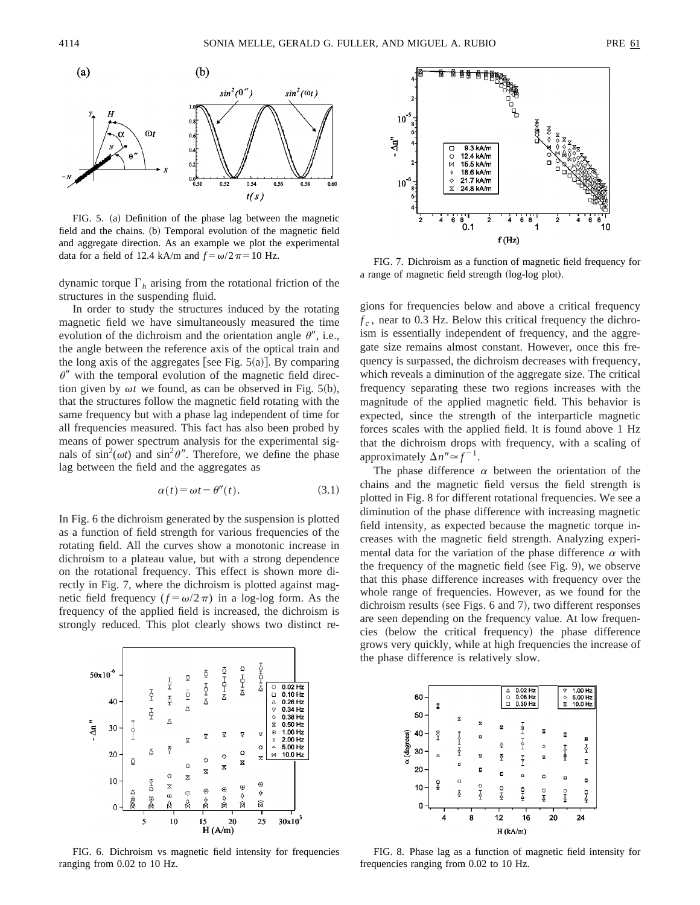

FIG. 5. (a) Definition of the phase lag between the magnetic field and the chains. (b) Temporal evolution of the magnetic field and aggregate direction. As an example we plot the experimental data for a field of 12.4 kA/m and  $f = \omega/2 \pi = 10$  Hz.

dynamic torque  $\Gamma_h$  arising from the rotational friction of the structures in the suspending fluid.

In order to study the structures induced by the rotating magnetic field we have simultaneously measured the time evolution of the dichroism and the orientation angle  $\theta''$ , i.e., the angle between the reference axis of the optical train and the long axis of the aggregates see Fig.  $5(a)$ . By comparing  $\theta''$  with the temporal evolution of the magnetic field direction given by  $\omega t$  we found, as can be observed in Fig. 5(b), that the structures follow the magnetic field rotating with the same frequency but with a phase lag independent of time for all frequencies measured. This fact has also been probed by means of power spectrum analysis for the experimental signals of  $\sin^2(\omega t)$  and  $\sin^2 \theta''$ . Therefore, we define the phase lag between the field and the aggregates as

$$
\alpha(t) = \omega t - \theta''(t). \tag{3.1}
$$

In Fig. 6 the dichroism generated by the suspension is plotted as a function of field strength for various frequencies of the rotating field. All the curves show a monotonic increase in dichroism to a plateau value, but with a strong dependence on the rotational frequency. This effect is shown more directly in Fig. 7, where the dichroism is plotted against magnetic field frequency  $(f = \omega/2\pi)$  in a log-log form. As the frequency of the applied field is increased, the dichroism is strongly reduced. This plot clearly shows two distinct re-



FIG. 6. Dichroism vs magnetic field intensity for frequencies ranging from 0.02 to 10 Hz.



FIG. 7. Dichroism as a function of magnetic field frequency for a range of magnetic field strength (log-log plot).

gions for frequencies below and above a critical frequency  $f_c$ , near to 0.3 Hz. Below this critical frequency the dichroism is essentially independent of frequency, and the aggregate size remains almost constant. However, once this frequency is surpassed, the dichroism decreases with frequency, which reveals a diminution of the aggregate size. The critical frequency separating these two regions increases with the magnitude of the applied magnetic field. This behavior is expected, since the strength of the interparticle magnetic forces scales with the applied field. It is found above 1 Hz that the dichroism drops with frequency, with a scaling of approximately  $\Delta n'' \simeq f^{-1}$ .

The phase difference  $\alpha$  between the orientation of the chains and the magnetic field versus the field strength is plotted in Fig. 8 for different rotational frequencies. We see a diminution of the phase difference with increasing magnetic field intensity, as expected because the magnetic torque increases with the magnetic field strength. Analyzing experimental data for the variation of the phase difference  $\alpha$  with the frequency of the magnetic field (see Fig. 9), we observe that this phase difference increases with frequency over the whole range of frequencies. However, as we found for the dichroism results (see Figs. 6 and 7), two different responses are seen depending on the frequency value. At low frequencies (below the critical frequency) the phase difference grows very quickly, while at high frequencies the increase of the phase difference is relatively slow.



FIG. 8. Phase lag as a function of magnetic field intensity for frequencies ranging from 0.02 to 10 Hz.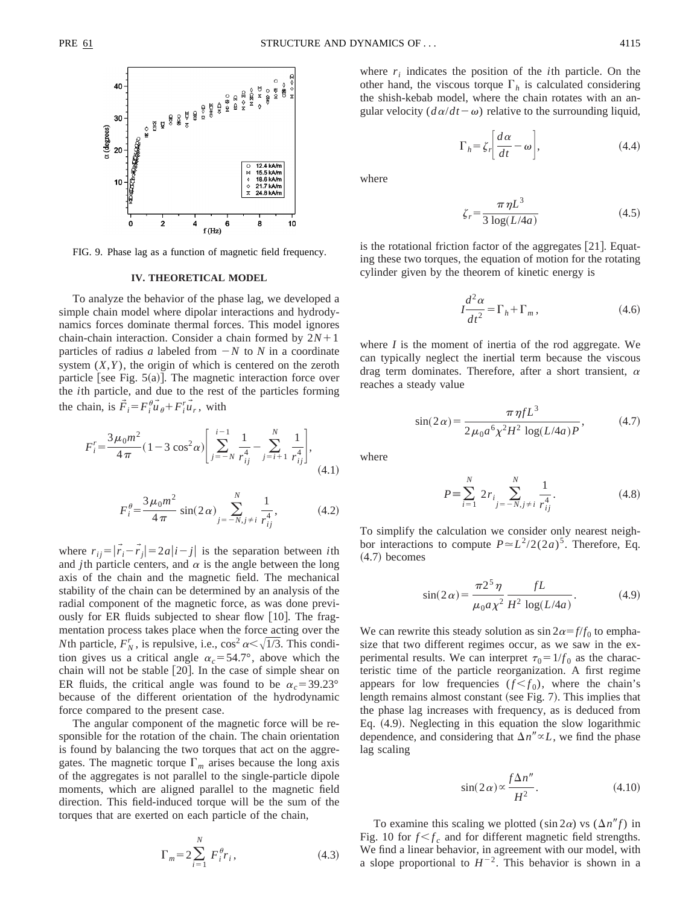

FIG. 9. Phase lag as a function of magnetic field frequency.

## **IV. THEORETICAL MODEL**

To analyze the behavior of the phase lag, we developed a simple chain model where dipolar interactions and hydrodynamics forces dominate thermal forces. This model ignores chain-chain interaction. Consider a chain formed by  $2N+1$ particles of radius *a* labeled from  $-N$  to *N* in a coordinate system  $(X, Y)$ , the origin of which is centered on the zeroth particle [see Fig.  $5(a)$ ]. The magnetic interaction force over the *i*th particle, and due to the rest of the particles forming the chain, is  $\vec{F}_i = F_i^{\theta} \vec{u}_{\theta} + F_i^r \vec{u}_r$ , with

$$
F_i^r = \frac{3\mu_0 m^2}{4\pi} (1 - 3\cos^2 \alpha) \left[ \sum_{j=-N}^{i-1} \frac{1}{r_{ij}^4} - \sum_{j=i+1}^N \frac{1}{r_{ij}^4} \right],
$$
\n(4.1)

$$
F_i^{\theta} = \frac{3\mu_0 m^2}{4\pi} \sin(2\alpha) \sum_{j=-N, j \neq i}^{N} \frac{1}{r_{ij}^4},
$$
 (4.2)

where  $r_{ij} = |\vec{r}_i - \vec{r}_j| = 2a|i - j|$  is the separation between *i*th and *j*th particle centers, and  $\alpha$  is the angle between the long axis of the chain and the magnetic field. The mechanical stability of the chain can be determined by an analysis of the radial component of the magnetic force, as was done previously for ER fluids subjected to shear flow  $[10]$ . The fragmentation process takes place when the force acting over the *N*th particle,  $F_N^r$ , is repulsive, i.e.,  $\cos^2 \alpha < \sqrt{1/3}$ . This condition gives us a critical angle  $\alpha_c = 54.7^\circ$ , above which the chain will not be stable  $[20]$ . In the case of simple shear on ER fluids, the critical angle was found to be  $\alpha_c = 39.23^\circ$ because of the different orientation of the hydrodynamic force compared to the present case.

The angular component of the magnetic force will be responsible for the rotation of the chain. The chain orientation is found by balancing the two torques that act on the aggregates. The magnetic torque  $\Gamma_m$  arises because the long axis of the aggregates is not parallel to the single-particle dipole moments, which are aligned parallel to the magnetic field direction. This field-induced torque will be the sum of the torques that are exerted on each particle of the chain,

$$
\Gamma_m = 2 \sum_{i=1}^{N} F_i^{\theta} r_i, \qquad (4.3)
$$

where  $r_i$  indicates the position of the *i*th particle. On the other hand, the viscous torque  $\Gamma_h$  is calculated considering the shish-kebab model, where the chain rotates with an angular velocity  $(d\alpha/dt-\omega)$  relative to the surrounding liquid,

$$
\Gamma_h = \zeta_r \left[ \frac{d\alpha}{dt} - \omega \right],\tag{4.4}
$$

where

$$
\zeta_r = \frac{\pi \eta L^3}{3 \log(L/4a)}\tag{4.5}
$$

is the rotational friction factor of the aggregates  $|21|$ . Equating these two torques, the equation of motion for the rotating cylinder given by the theorem of kinetic energy is

$$
I\frac{d^2\alpha}{dt^2} = \Gamma_h + \Gamma_m, \qquad (4.6)
$$

where *I* is the moment of inertia of the rod aggregate. We can typically neglect the inertial term because the viscous drag term dominates. Therefore, after a short transient,  $\alpha$ reaches a steady value

$$
\sin(2\alpha) = \frac{\pi \eta f L^3}{2\mu_0 a^6 \chi^2 H^2 \log(L/4a) P},
$$
\n(4.7)

where

$$
P = \sum_{i=1}^{N} 2r_i \sum_{j=-N, j \neq i}^{N} \frac{1}{r_{ij}^4}.
$$
 (4.8)

To simplify the calculation we consider only nearest neighbor interactions to compute  $P \approx L^2/2(2a)^5$ . Therefore, Eq.  $(4.7)$  becomes

$$
\sin(2\alpha) = \frac{\pi 2^5 \eta}{\mu_0 a \chi^2} \frac{fL}{H^2 \log(L/4a)}.
$$
 (4.9)

We can rewrite this steady solution as  $\sin 2\alpha = f/f_0$  to emphasize that two different regimes occur, as we saw in the experimental results. We can interpret  $\tau_0 = 1/f_0$  as the characteristic time of the particle reorganization. A first regime appears for low frequencies  $(f < f_0)$ , where the chain's length remains almost constant (see Fig.  $7$ ). This implies that the phase lag increases with frequency, as is deduced from Eq.  $(4.9)$ . Neglecting in this equation the slow logarithmic dependence, and considering that  $\Delta n'' \propto L$ , we find the phase lag scaling

$$
\sin(2\,\alpha) \propto \frac{f\Delta n''}{H^2}.\tag{4.10}
$$

To examine this scaling we plotted (sin 2 $\alpha$ ) vs ( $\Delta n''f$ ) in Fig. 10 for  $f < f_c$  and for different magnetic field strengths. We find a linear behavior, in agreement with our model, with a slope proportional to  $H^{-2}$ . This behavior is shown in a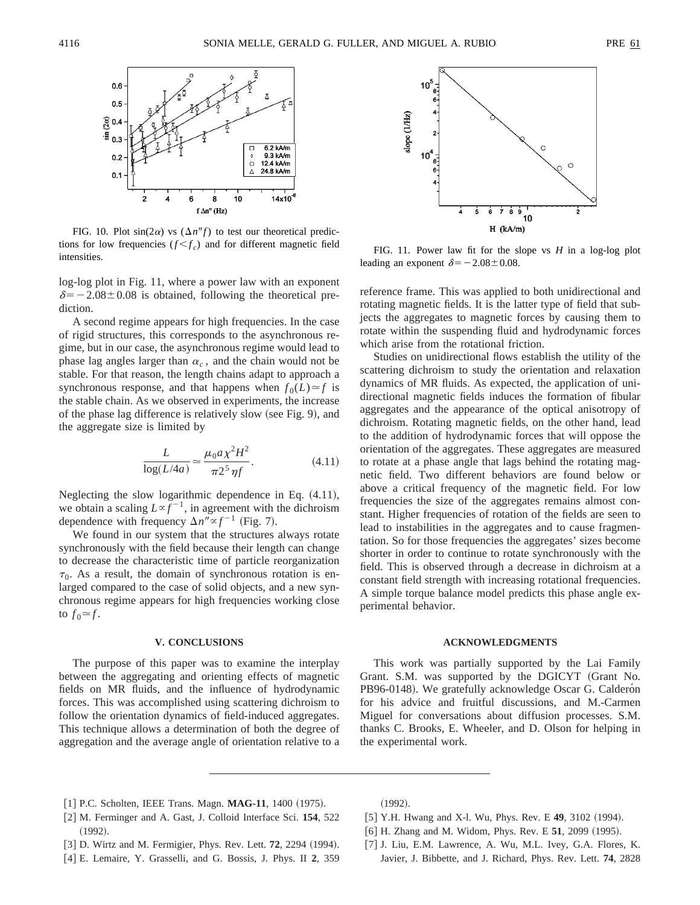

FIG. 10. Plot  $sin(2\alpha)$  vs  $(\Delta n''f)$  to test our theoretical predictions for low frequencies  $(f \leq f_c)$  and for different magnetic field intensities.

log-log plot in Fig. 11, where a power law with an exponent  $\delta$ = -2.08±0.08 is obtained, following the theoretical prediction.

A second regime appears for high frequencies. In the case of rigid structures, this corresponds to the asynchronous regime, but in our case, the asynchronous regime would lead to phase lag angles larger than  $\alpha_c$ , and the chain would not be stable. For that reason, the length chains adapt to approach a synchronous response, and that happens when  $f_0(L) \simeq f$  is the stable chain. As we observed in experiments, the increase of the phase lag difference is relatively slow (see Fig. 9), and the aggregate size is limited by

$$
\frac{L}{\log(L/4a)} \simeq \frac{\mu_0 a \chi^2 H^2}{\pi 2^5 \eta f}.
$$
\n(4.11)

Neglecting the slow logarithmic dependence in Eq.  $(4.11)$ , we obtain a scaling  $L \propto f^{-1}$ , in agreement with the dichroism dependence with frequency  $\Delta n'' \propto f^{-1}$  (Fig. 7).

We found in our system that the structures always rotate synchronously with the field because their length can change to decrease the characteristic time of particle reorganization  $\tau_0$ . As a result, the domain of synchronous rotation is enlarged compared to the case of solid objects, and a new synchronous regime appears for high frequencies working close to  $f_0 \approx f$ .

# **V. CONCLUSIONS**

The purpose of this paper was to examine the interplay between the aggregating and orienting effects of magnetic fields on MR fluids, and the influence of hydrodynamic forces. This was accomplished using scattering dichroism to follow the orientation dynamics of field-induced aggregates. This technique allows a determination of both the degree of aggregation and the average angle of orientation relative to a



FIG. 11. Power law fit for the slope vs *H* in a log-log plot leading an exponent  $\delta$ = -2.08 ± 0.08.

reference frame. This was applied to both unidirectional and rotating magnetic fields. It is the latter type of field that subjects the aggregates to magnetic forces by causing them to rotate within the suspending fluid and hydrodynamic forces which arise from the rotational friction.

Studies on unidirectional flows establish the utility of the scattering dichroism to study the orientation and relaxation dynamics of MR fluids. As expected, the application of unidirectional magnetic fields induces the formation of fibular aggregates and the appearance of the optical anisotropy of dichroism. Rotating magnetic fields, on the other hand, lead to the addition of hydrodynamic forces that will oppose the orientation of the aggregates. These aggregates are measured to rotate at a phase angle that lags behind the rotating magnetic field. Two different behaviors are found below or above a critical frequency of the magnetic field. For low frequencies the size of the aggregates remains almost constant. Higher frequencies of rotation of the fields are seen to lead to instabilities in the aggregates and to cause fragmentation. So for those frequencies the aggregates' sizes become shorter in order to continue to rotate synchronously with the field. This is observed through a decrease in dichroism at a constant field strength with increasing rotational frequencies. A simple torque balance model predicts this phase angle experimental behavior.

#### **ACKNOWLEDGMENTS**

This work was partially supported by the Lai Family Grant. S.M. was supported by the DGICYT (Grant No. PB96-0148). We gratefully acknowledge Oscar G. Calderón for his advice and fruitful discussions, and M.-Carmen Miguel for conversations about diffusion processes. S.M. thanks C. Brooks, E. Wheeler, and D. Olson for helping in the experimental work.

- [1] P.C. Scholten, IEEE Trans. Magn. MAG-11, 1400 (1975).
- [2] M. Ferminger and A. Gast, J. Colloid Interface Sci. 154, 522  $(1992).$
- [3] D. Wirtz and M. Fermigier, Phys. Rev. Lett. **72**, 2294 (1994).
- @4# E. Lemaire, Y. Grasselli, and G. Bossis, J. Phys. II **2**, 359

 $(1992).$ 

- [5] Y.H. Hwang and X-l. Wu, Phys. Rev. E 49, 3102 (1994).
- $[6]$  H. Zhang and M. Widom, Phys. Rev. E 51, 2099  $(1995)$ .
- [7] J. Liu, E.M. Lawrence, A. Wu, M.L. Ivey, G.A. Flores, K. Javier, J. Bibbette, and J. Richard, Phys. Rev. Lett. **74**, 2828